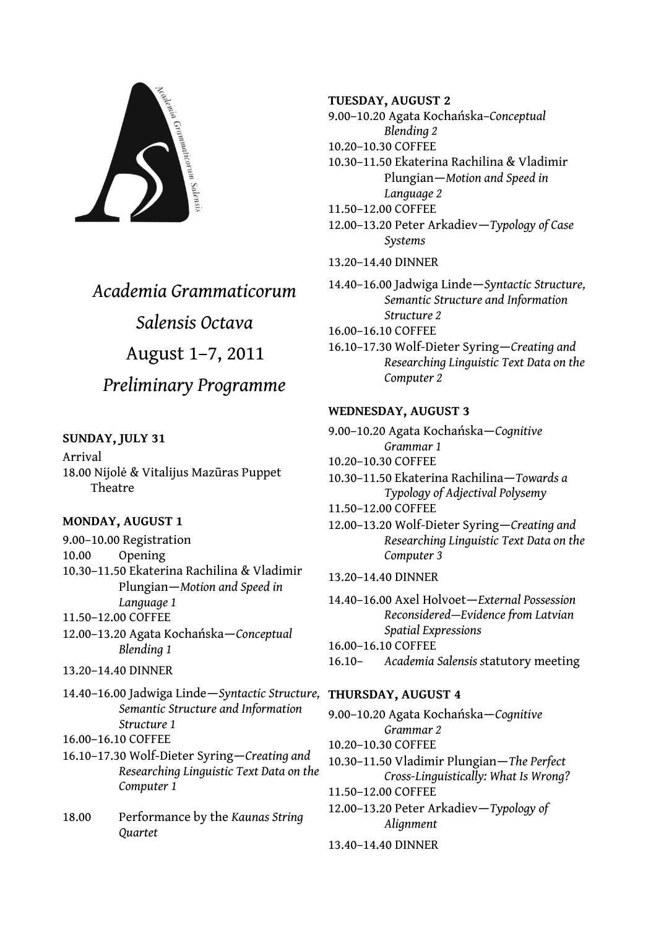

# *Academia Grammaticorum Salensis Octava* August 1–7, 2011 *Preliminary Programme*

# **SUNDAY, JULY 31**

Arrival 18.00 Nijolė & Vitalijus Mazūras Puppet Theatre

# **MONDAY, AUGUST 1**

9.00–10.00 Registration 10.00 Opening 10.30–11.50 Ekaterina Rachilina & Vladimir Plungian—*Motion and Speed in Language 1* 11.50–12.00 COFFEE

12.00–13.20 Agata Kochańska—*Conceptual Blending 1* 

- 13.20–14.40 DINNER
- 14.40–16.00 Jadwiga Linde—*Syntactic Structure,* **THURSDAY, AUGUST 4**  *Semantic Structure and Information Structure 1*

16.00–16.10 COFFEE

16.10–17.30 Wolf-Dieter Syring—*Creating and Researching Linguistic Text Data on the Computer 1*

18.00 Performance by the *Kaunas String Quartet*

# **TUESDAY, AUGUST 2**

9.00–10.20 Agata Kochańska–*Conceptual Blending 2*

- 10.20–10.30 COFFEE
- 10.30–11.50 Ekaterina Rachilina & Vladimir Plungian—*Motion and Speed in Language 2*
- 11.50–12.00 COFFEE
- 12.00–13.20 Peter Arkadiev*—Typology of Case Systems*
- 13.20–14.40 DINNER

14.40–16.00 Jadwiga Linde—*Syntactic Structure, Semantic Structure and Information Structure 2*

16.00–16.10 COFFEE

16.10–17.30 Wolf-Dieter Syring—*Creating and Researching Linguistic Text Data on the Computer 2*

# **WEDNESDAY, AUGUST 3**

- 9.00–10.20 Agata Kochańska—*Cognitive Grammar 1*
- 10.20–10.30 COFFEE
- 10.30–11.50 Ekaterina Rachilina—*Towards a Typology of Adjectival Polysemy*
- 11.50–12.00 COFFEE
- 12.00–13.20 Wolf-Dieter Syring—*Creating and Researching Linguistic Text Data on the Computer 3*
- 13.20–14.40 DINNER

14.40–16.00 Axel Holvoet—*External Possession Reconsidered—Evidence from Latvian Spatial Expressions*

16.00–16.10 COFFEE

16.10– *Academia Salensis s*tatutory meeting

9.00–10.20 Agata Kochańska—*Cognitive Grammar 2*

- 10.20–10.30 COFFEE
- 10.30–11.50 Vladimir Plungian—*The Perfect Cross-Linguistically: What Is Wrong?*
- 11.50–12.00 COFFEE
- 12.00–13.20 Peter Arkadiev—*Typology of Alignment*
- 13.40–14.40 DINNER